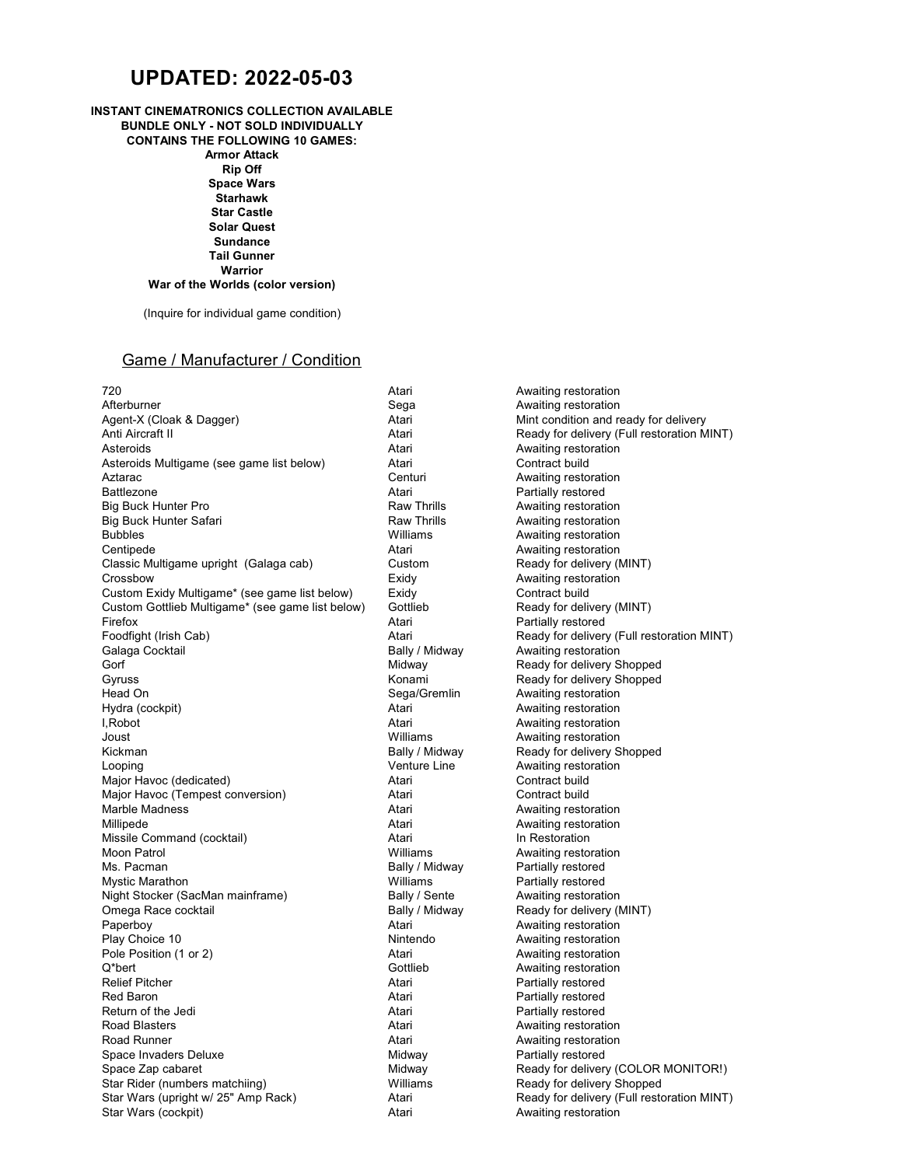# **UPDATED: 2022-05-03**

## **INSTANT CINEMATRONICS COLLECTION AVAILABLE**

**BUNDLE ONLY - NOT SOLD INDIVIDUALLY CONTAINS THE FOLLOWING 10 GAMES: Armor Attack Rip Off Space Wars Starhawk Star Castle Solar Quest Sundance Tail Gunner Warrior War of the Worlds (color version)**

(Inquire for individual game condition)

### Game / Manufacturer / Condition

Participal Actari American Control Atari Awaiting restoration<br>
Acterburner Control of Sega<br>
Awaiting restoration Afterburner (Afterburner Sega Awaiting restoration of the Sega Sega<br>Agent-X (Cloak & Dagger) Atari Atari (After Sega Atari Mint condition and re Anti Aircraft II Atari Atari Peady for delivery (Full restoration MINT)<br>Atari Peady for delivery (Full restoration MINT)<br>Atari Awaiting restoration Asteroids<br>
Asteroids Multigame (see game list below) <br>
Atari Contract build Contract Audition Asteroids Multigame (see game list below) Atari Aztarac Centuri Awaiting restoration Big Buck Hunter Pro **Raw Thrills** Awaiting restoration Big Buck Hunter Safari **Raw Thrills Execution**<br>Bubbles **Raw Thrills Awaiting restoration**<br>Williams Awaiting restoration Centipede **Atari** Awaiting restoration **Centipede** Awaiting restoration Classic Multigame upright (Galaga cab) Custom Ready for delivery (MINT) Crossbow **Exidy** Exidy Awaiting restoration Custom Exidy Multigame\* (see game list below) Exidy Contract build<br>Custom Gottlieb Multigame\* (see game list below) Gottlieb Channess Ready for delivery (MINT) Custom Gottlieb Multigame\* (see game list below) Gottli<br>Firefox Atari Firefox **Atari** Partially restored **Atari** Partially restored Foodfight (Irish Cab) The Solution of Atari Atari Ready for delivery (Full restoration MINT)<br>The Ready Atari Ready (Ally Analy Atari Awaiting restoration MINT) Galaga Cocktail **Galaga Cocktail** Bally / Midway Awaiting restoration<br>Gorf **Bally Amazon Contract Contract Contract Contract Contract Contract Contract Contract Contract Contract Co** Gyruss Committee Committee Committee Committee Committee Committee Committee Committee Committee Committee Comm<br>
Seaa/Gremlin Awaiting restoration<br>
Awaiting restoration Head On **Sega/Gremlin** Awaiting restoration<br>Hydra (cockpit) **Auditing 1999** Atari Awaiting restoration I,Robot Atari Awaiting restoration Joust **Mulliams** Awaiting restoration<br>
Kickman Mulliams Bally / Midway Ready for delivery S Looping **Leap Contains Container Container Awaiting restoration** Venture Line Awaiting restoration Major Havoc (dedicated) and a metal contract build contract build Major Havoc (Tempest conversion) Atari Contract build Marble Madness **Austing restoration**<br>Millipede **Australian Communist Communist Communist Communist Awaiting restoration**<br>Atari Awaiting restoration Missile Command (cocktail) <br>Moon Patrol **Atari In Restoration**<br>Williams Awaiting resto Moon Patrol Milliams Milliams Awaiting restoration<br>Moon Patrol Milliams Awaiting restoration<br>Milliams Awaiting Patrol Milliams Awaiting restored Mystic Marathon **Mulliams Partially restored Mulliams Partially restored** Night Stocker (SacMan mainframe) Bally / Sente Awaiting restoration<br>
Omega Race cocktail Bally / Midway Ready for delivery (Notel American Ready for delivery (Notel American Ready for delivery (Notel American Ready for del Omega Race cocktail **Bally / Midway** Ready for delivery (MINT) Paperboy **Australian Communist Communist Communist Communist Communist Communist Communist Communist Communist Communist Communist Communist Communist Communist Communist Communist Communist Communist Communist Communist C** Pole Position (1 or 2) **Atari** Awaiting restoration **Pole Position** (1 or 2) Q\*bert **Awaiting restoration** Construction Construction Construction Construction Construction Construction Construction Relief Pitcher **Atari** Partially restored **Partially restored** Red Baron **Atari** Partially restored Return of the Jedi **Atari** Atari **Partially restored Partially restored** Road Blasters **Atari** Awaiting restoration **Road Blasters** Awaiting restoration Road Runner **Australian Communist Communist Communist Communist Communist Communist Communist Communist Communist Communist Communist Communist Communist Communist Communist Communist Communist Communist Communist Communis** Space Invaders Deluxe Space Zap cabaret **Midway** Midway Ready for delivery (COLOR MONITOR!) Star Rider (numbers matchiing) Williams Ready for delivery Shopped Star Wars (upright w/ 25" Amp Rack) Atari Ready for delivery (Full restoration MINT) Star Wars (cockpit) **Atari** Awaiting restoration Awaiting restoration

Mint condition and ready for delivery Atari **Partially restored**<br>Raw Thrills **Awaiting restoration** Awaiting restoration Midway Ready for delivery Shopped Atari **Awaiting restoration** Ready for delivery Shopped Awaiting restoration Partially restored Awaiting restoration